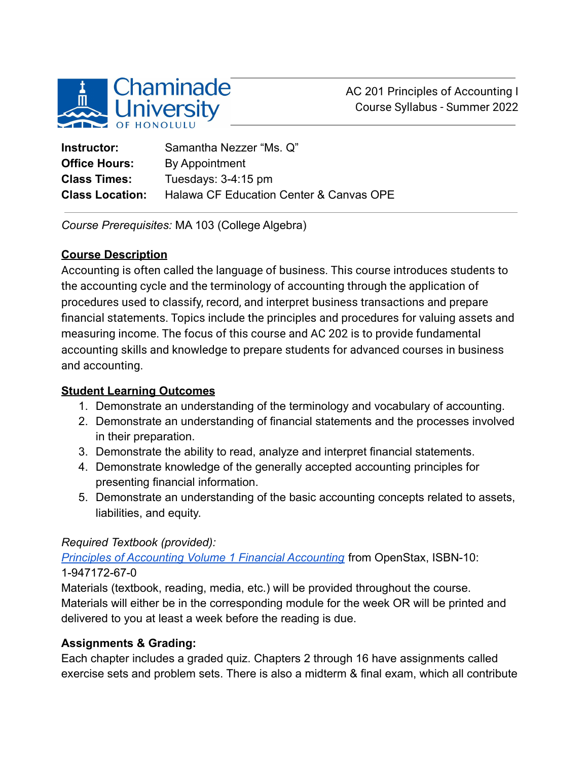

AC 201 Principles of Accounting I Course Syllabus - Summer 2022

| Instructor:            | Samantha Nezzer "Ms. Q"                 |
|------------------------|-----------------------------------------|
| <b>Office Hours:</b>   | By Appointment                          |
| <b>Class Times:</b>    | Tuesdays: $3-4:15$ pm                   |
| <b>Class Location:</b> | Halawa CF Education Center & Canvas OPE |

*Course Prerequisites:* MA 103 (College Algebra)

#### **Course Description**

Accounting is often called the language of business. This course introduces students to the accounting cycle and the terminology of accounting through the application of procedures used to classify, record, and interpret business transactions and prepare financial statements. Topics include the principles and procedures for valuing assets and measuring income. The focus of this course and AC 202 is to provide fundamental accounting skills and knowledge to prepare students for advanced courses in business and accounting.

### **Student Learning Outcomes**

- 1. Demonstrate an understanding of the terminology and vocabulary of accounting.
- 2. Demonstrate an understanding of financial statements and the processes involved in their preparation.
- 3. Demonstrate the ability to read, analyze and interpret financial statements.
- 4. Demonstrate knowledge of the generally accepted accounting principles for presenting financial information.
- 5. Demonstrate an understanding of the basic accounting concepts related to assets, liabilities, and equity.

### *Required Textbook (provided):*

*[Principles of Accounting Volume 1 Financial Accounting](https://openstax.org/details/books/principles-financial-accounting?Book%20details)* from OpenStax, ISBN-10: 1-947172-67-0

Materials (textbook, reading, media, etc.) will be provided throughout the course. Materials will either be in the corresponding module for the week OR will be printed and delivered to you at least a week before the reading is due.

### **Assignments & Grading:**

Each chapter includes a graded quiz. Chapters 2 through 16 have assignments called exercise sets and problem sets. There is also a midterm & final exam, which all contribute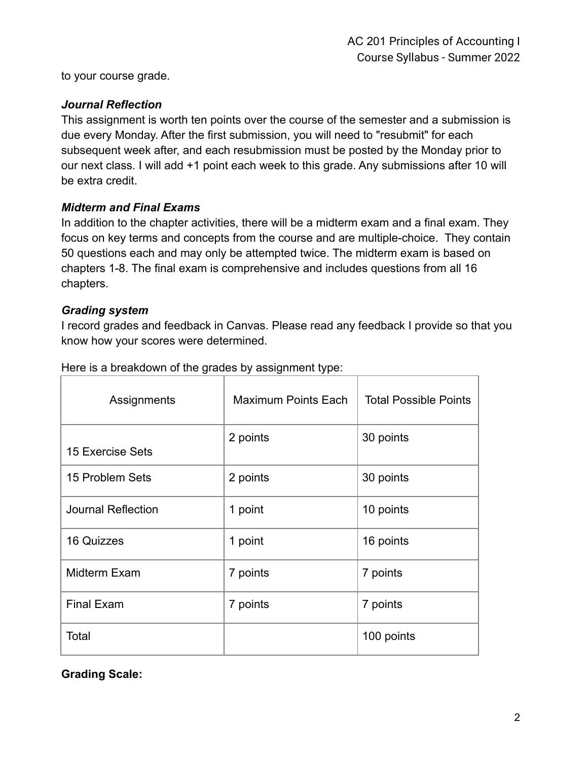to your course grade.

### *Journal Reflection*

This assignment is worth ten points over the course of the semester and a submission is due every Monday. After the first submission, you will need to "resubmit" for each subsequent week after, and each resubmission must be posted by the Monday prior to our next class. I will add +1 point each week to this grade. Any submissions after 10 will be extra credit.

### *Midterm and Final Exams*

In addition to the chapter activities, there will be a midterm exam and a final exam. They focus on key terms and concepts from the course and are multiple-choice. They contain 50 questions each and may only be attempted twice. The midterm exam is based on chapters 1-8. The final exam is comprehensive and includes questions from all 16 chapters.

#### *Grading system*

I record grades and feedback in Canvas. Please read any feedback I provide so that you know how your scores were determined.

| Assignments               | <b>Maximum Points Each</b> | <b>Total Possible Points</b> |  |
|---------------------------|----------------------------|------------------------------|--|
| <b>15 Exercise Sets</b>   | 2 points                   | 30 points                    |  |
| 15 Problem Sets           | 2 points                   | 30 points                    |  |
| <b>Journal Reflection</b> | 1 point                    | 10 points                    |  |
| 16 Quizzes                | 1 point                    | 16 points                    |  |
| Midterm Exam              | 7 points                   | 7 points                     |  |
| <b>Final Exam</b>         | 7 points                   | 7 points                     |  |
| Total                     |                            | 100 points                   |  |

Here is a breakdown of the grades by assignment type:

**Grading Scale:**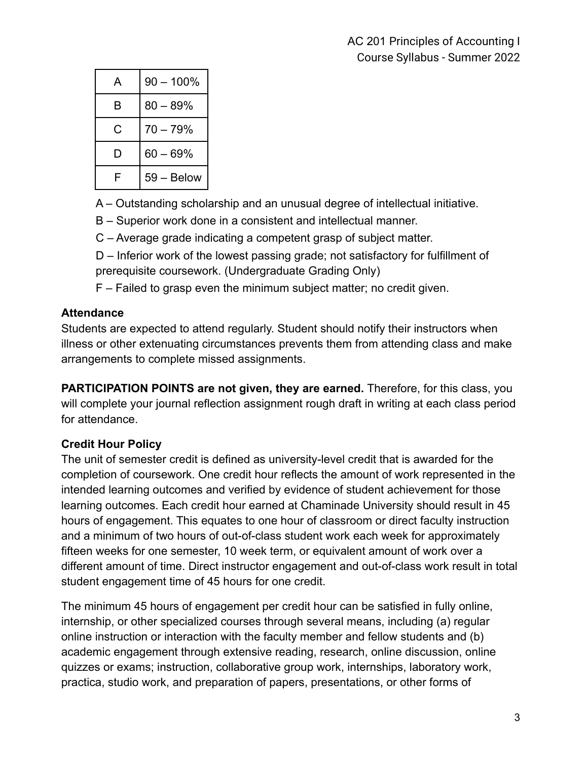| А | $90 - 100\%$ |  |
|---|--------------|--|
| в | $80 - 89%$   |  |
| С | $70 - 79%$   |  |
| D | $60 - 69%$   |  |
| F | 59 - Below   |  |

A – Outstanding scholarship and an unusual degree of intellectual initiative.

B – Superior work done in a consistent and intellectual manner.

C – Average grade indicating a competent grasp of subject matter.

D – Inferior work of the lowest passing grade; not satisfactory for fulfillment of prerequisite coursework. (Undergraduate Grading Only)

F – Failed to grasp even the minimum subject matter; no credit given.

# **Attendance**

Students are expected to attend regularly. Student should notify their instructors when illness or other extenuating circumstances prevents them from attending class and make arrangements to complete missed assignments.

**PARTICIPATION POINTS are not given, they are earned.** Therefore, for this class, you will complete your journal reflection assignment rough draft in writing at each class period for attendance.

# **Credit Hour Policy**

The unit of semester credit is defined as university-level credit that is awarded for the completion of coursework. One credit hour reflects the amount of work represented in the intended learning outcomes and verified by evidence of student achievement for those learning outcomes. Each credit hour earned at Chaminade University should result in 45 hours of engagement. This equates to one hour of classroom or direct faculty instruction and a minimum of two hours of out-of-class student work each week for approximately fifteen weeks for one semester, 10 week term, or equivalent amount of work over a different amount of time. Direct instructor engagement and out-of-class work result in total student engagement time of 45 hours for one credit.

The minimum 45 hours of engagement per credit hour can be satisfied in fully online, internship, or other specialized courses through several means, including (a) regular online instruction or interaction with the faculty member and fellow students and (b) academic engagement through extensive reading, research, online discussion, online quizzes or exams; instruction, collaborative group work, internships, laboratory work, practica, studio work, and preparation of papers, presentations, or other forms of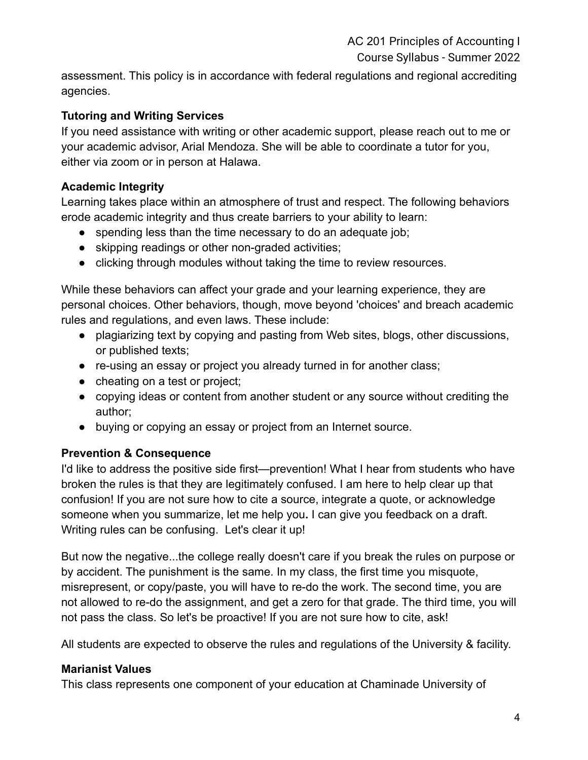AC 201 Principles of Accounting I

Course Syllabus - Summer 2022

assessment. This policy is in accordance with federal regulations and regional accrediting agencies.

## **Tutoring and Writing Services**

If you need assistance with writing or other academic support, please reach out to me or your academic advisor, Arial Mendoza. She will be able to coordinate a tutor for you, either via zoom or in person at Halawa.

### **Academic Integrity**

Learning takes place within an atmosphere of trust and respect. The following behaviors erode academic integrity and thus create barriers to your ability to learn:

- spending less than the time necessary to do an adequate job;
- skipping readings or other non-graded activities;
- clicking through modules without taking the time to review resources.

While these behaviors can affect your grade and your learning experience, they are personal choices. Other behaviors, though, move beyond 'choices' and breach academic rules and regulations, and even laws. These include:

- plagiarizing text by copying and pasting from Web sites, blogs, other discussions, or published texts;
- re-using an essay or project you already turned in for another class;
- cheating on a test or project;
- copying ideas or content from another student or any source without crediting the author;
- buying or copying an essay or project from an Internet source.

## **Prevention & Consequence**

I'd like to address the positive side first—prevention! What I hear from students who have broken the rules is that they are legitimately confused. I am here to help clear up that confusion! If you are not sure how to cite a source, integrate a quote, or acknowledge someone when you summarize, let me help you**.** I can give you feedback on a draft. Writing rules can be confusing. Let's clear it up!

But now the negative...the college really doesn't care if you break the rules on purpose or by accident. The punishment is the same. In my class, the first time you misquote, misrepresent, or copy/paste, you will have to re-do the work. The second time, you are not allowed to re-do the assignment, and get a zero for that grade. The third time, you will not pass the class. So let's be proactive! If you are not sure how to cite, ask!

All students are expected to observe the rules and regulations of the University & facility.

### **Marianist Values**

This class represents one component of your education at Chaminade University of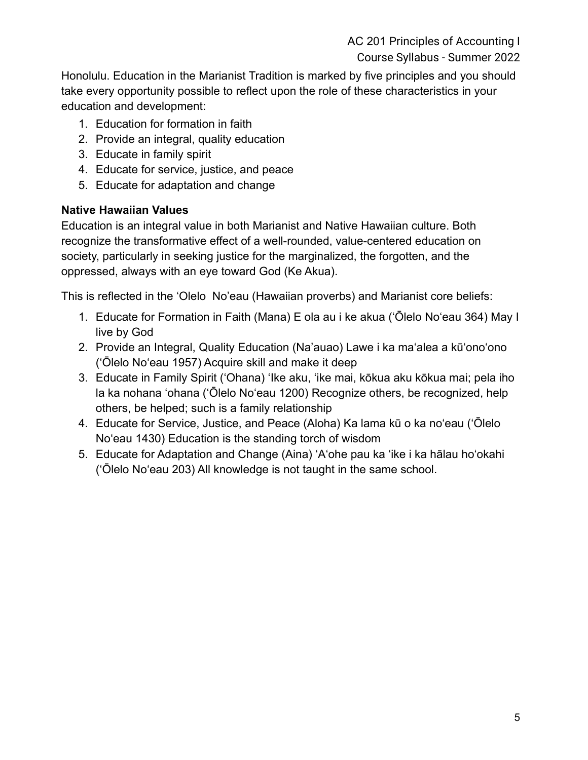AC 201 Principles of Accounting I Course Syllabus - Summer 2022

Honolulu. Education in the Marianist Tradition is marked by five principles and you should take every opportunity possible to reflect upon the role of these characteristics in your education and development:

- 1. Education for formation in faith
- 2. Provide an integral, quality education
- 3. Educate in family spirit
- 4. Educate for service, justice, and peace
- 5. Educate for adaptation and change

## **Native Hawaiian Values**

Education is an integral value in both Marianist and Native Hawaiian culture. Both recognize the transformative effect of a well-rounded, value-centered education on society, particularly in seeking justice for the marginalized, the forgotten, and the oppressed, always with an eye toward God (Ke Akua).

This is reflected in the 'Olelo No'eau (Hawaiian proverbs) and Marianist core beliefs:

- 1. Educate for Formation in Faith (Mana) E ola au i ke akua (ʻŌlelo Noʻeau 364) May I live by God
- 2. Provide an Integral, Quality Education (Na'auao) Lawe i ka maʻalea a kūʻonoʻono (ʻŌlelo Noʻeau 1957) Acquire skill and make it deep
- 3. Educate in Family Spirit ('Ohana) ʻIke aku, ʻike mai, kōkua aku kōkua mai; pela iho la ka nohana ʻohana ('Ōlelo Noʻeau 1200) Recognize others, be recognized, help others, be helped; such is a family relationship
- 4. Educate for Service, Justice, and Peace (Aloha) Ka lama kū o ka noʻeau (ʻŌlelo Noʻeau 1430) Education is the standing torch of wisdom
- 5. Educate for Adaptation and Change (Aina) ʻAʻohe pau ka 'ike i ka hālau hoʻokahi (ʻŌlelo Noʻeau 203) All knowledge is not taught in the same school.